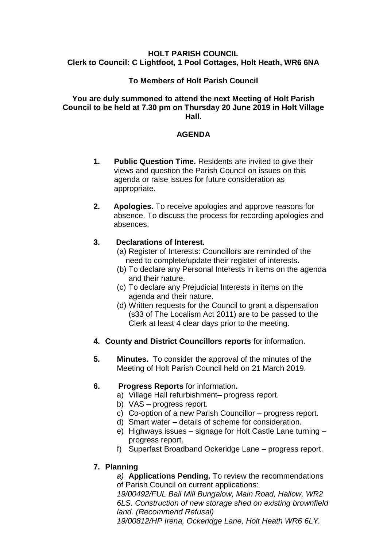### **HOLT PARISH COUNCIL Clerk to Council: C Lightfoot, 1 Pool Cottages, Holt Heath, WR6 6NA**

## **To Members of Holt Parish Council**

#### **You are duly summoned to attend the next Meeting of Holt Parish Council to be held at 7.30 pm on Thursday 20 June 2019 in Holt Village Hall.**

### **AGENDA**

- **1. Public Question Time.** Residents are invited to give their views and question the Parish Council on issues on this agenda or raise issues for future consideration as appropriate.
- **2. Apologies.** To receive apologies and approve reasons for absence. To discuss the process for recording apologies and absences.

## **3. Declarations of Interest.**

- (a) Register of Interests: Councillors are reminded of the need to complete/update their register of interests.
- (b) To declare any Personal Interests in items on the agenda and their nature.
- (c) To declare any Prejudicial Interests in items on the agenda and their nature.
- (d) Written requests for the Council to grant a dispensation (s33 of The Localism Act 2011) are to be passed to the Clerk at least 4 clear days prior to the meeting.
- **4. County and District Councillors reports** for information.
- **5. Minutes.** To consider the approval of the minutes of the Meeting of Holt Parish Council held on 21 March 2019.

# **6. Progress Reports** for information**.**

- a) Village Hall refurbishment– progress report.
- b) VAS progress report.
- c) Co-option of a new Parish Councillor progress report.
- d) Smart water details of scheme for consideration.
- e) Highways issues signage for Holt Castle Lane turning progress report.
- f) Superfast Broadband Ockeridge Lane progress report.

# **7. Planning**

*a)* **Applications Pending.** To review the recommendations of Parish Council on current applications:

*19/00492/FUL Ball Mill Bungalow, Main Road, Hallow, WR2 6LS. Construction of new storage shed on existing brownfield land. (Recommend Refusal)*

*19/00812/HP Irena, Ockeridge Lane, Holt Heath WR6 6LY.*